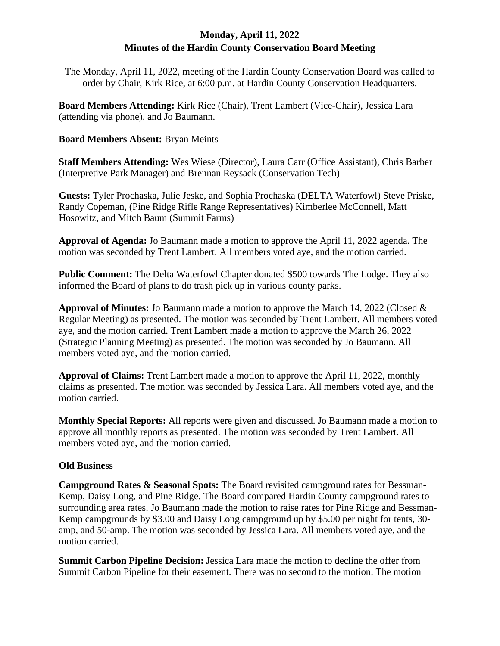# **Monday, April 11, 2022 Minutes of the Hardin County Conservation Board Meeting**

The Monday, April 11, 2022, meeting of the Hardin County Conservation Board was called to order by Chair, Kirk Rice, at 6:00 p.m. at Hardin County Conservation Headquarters.

**Board Members Attending:** Kirk Rice (Chair), Trent Lambert (Vice-Chair), Jessica Lara (attending via phone), and Jo Baumann.

## **Board Members Absent:** Bryan Meints

**Staff Members Attending:** Wes Wiese (Director), Laura Carr (Office Assistant), Chris Barber (Interpretive Park Manager) and Brennan Reysack (Conservation Tech)

**Guests:** Tyler Prochaska, Julie Jeske, and Sophia Prochaska (DELTA Waterfowl) Steve Priske, Randy Copeman, (Pine Ridge Rifle Range Representatives) Kimberlee McConnell, Matt Hosowitz, and Mitch Baum (Summit Farms)

**Approval of Agenda:** Jo Baumann made a motion to approve the April 11, 2022 agenda. The motion was seconded by Trent Lambert. All members voted aye, and the motion carried.

**Public Comment:** The Delta Waterfowl Chapter donated \$500 towards The Lodge. They also informed the Board of plans to do trash pick up in various county parks.

**Approval of Minutes:** Jo Baumann made a motion to approve the March 14, 2022 (Closed & Regular Meeting) as presented. The motion was seconded by Trent Lambert. All members voted aye, and the motion carried. Trent Lambert made a motion to approve the March 26, 2022 (Strategic Planning Meeting) as presented. The motion was seconded by Jo Baumann. All members voted aye, and the motion carried.

**Approval of Claims:** Trent Lambert made a motion to approve the April 11, 2022, monthly claims as presented. The motion was seconded by Jessica Lara. All members voted aye, and the motion carried.

**Monthly Special Reports:** All reports were given and discussed. Jo Baumann made a motion to approve all monthly reports as presented. The motion was seconded by Trent Lambert. All members voted aye, and the motion carried.

## **Old Business**

**Campground Rates & Seasonal Spots:** The Board revisited campground rates for Bessman-Kemp, Daisy Long, and Pine Ridge. The Board compared Hardin County campground rates to surrounding area rates. Jo Baumann made the motion to raise rates for Pine Ridge and Bessman-Kemp campgrounds by \$3.00 and Daisy Long campground up by \$5.00 per night for tents, 30 amp, and 50-amp. The motion was seconded by Jessica Lara. All members voted aye, and the motion carried.

**Summit Carbon Pipeline Decision:** Jessica Lara made the motion to decline the offer from Summit Carbon Pipeline for their easement. There was no second to the motion. The motion